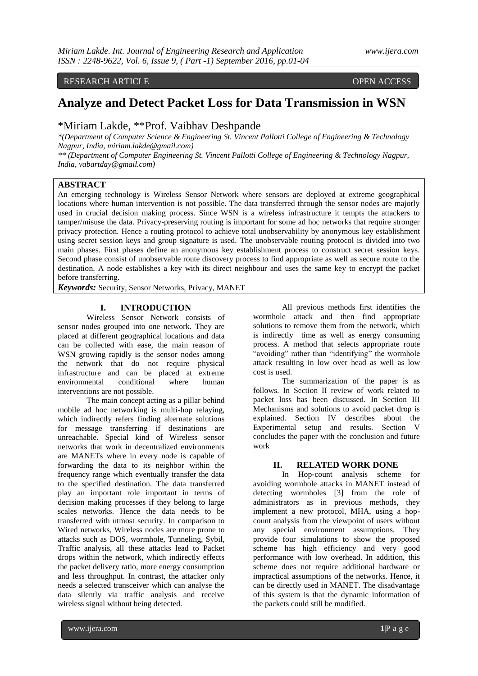## RESEARCH ARTICLE **CONTRACT ARTICLE**

# **Analyze and Detect Packet Loss for Data Transmission in WSN**

# \*Miriam Lakde, \*\*Prof. Vaibhav Deshpande

*\*(Department of Computer Science & Engineering St. Vincent Pallotti College of Engineering & Technology Nagpur, India, miriam.lakde@gmail.com)*

*\*\* (Department of Computer Engineering St. Vincent Pallotti College of Engineering & Technology Nagpur, India, vabartday@gmail.com)*

## **ABSTRACT**

An emerging technology is Wireless Sensor Network where sensors are deployed at extreme geographical locations where human intervention is not possible. The data transferred through the sensor nodes are majorly used in crucial decision making process. Since WSN is a wireless infrastructure it tempts the attackers to tamper/misuse the data. Privacy-preserving routing is important for some ad hoc networks that require stronger privacy protection. Hence a routing protocol to achieve total unobservability by anonymous key establishment using secret session keys and group signature is used. The unobservable routing protocol is divided into two main phases. First phases define an anonymous key establishment process to construct secret session keys. Second phase consist of unobservable route discovery process to find appropriate as well as secure route to the destination. A node establishes a key with its direct neighbour and uses the same key to encrypt the packet before transferring.

*Keywords:* Security, Sensor Networks, Privacy, MANET

## **I. INTRODUCTION**

Wireless Sensor Network consists of sensor nodes grouped into one network. They are placed at different geographical locations and data can be collected with ease, the main reason of WSN growing rapidly is the sensor nodes among the network that do not require physical infrastructure and can be placed at extreme environmental conditional where human interventions are not possible.

The main concept acting as a pillar behind mobile ad hoc networking is multi-hop relaying, which indirectly refers finding alternate solutions for message transferring if destinations are unreachable. Special kind of Wireless sensor networks that work in decentralized environments are MANETs where in every node is capable of forwarding the data to its neighbor within the frequency range which eventually transfer the data to the specified destination. The data transferred play an important role important in terms of decision making processes if they belong to large scales networks. Hence the data needs to be transferred with utmost security. In comparison to Wired networks, Wireless nodes are more prone to attacks such as DOS, wormhole, Tunneling, Sybil, Traffic analysis, all these attacks lead to Packet drops within the network, which indirectly effects the packet delivery ratio, more energy consumption and less throughput. In contrast, the attacker only needs a selected transceiver which can analyse the data silently via traffic analysis and receive wireless signal without being detected.

All previous methods first identifies the wormhole attack and then find appropriate solutions to remove them from the network, which is indirectly time as well as energy consuming process. A method that selects appropriate route "avoiding" rather than "identifying" the wormhole attack resulting in low over head as well as low cost is used.

The summarization of the paper is as follows. In Section II review of work related to packet loss has been discussed. In Section III Mechanisms and solutions to avoid packet drop is explained. Section IV describes about the Experimental setup and results. Section V concludes the paper with the conclusion and future work

#### **II. RELATED WORK DONE**

In Hop-count analysis scheme for avoiding wormhole attacks in MANET instead of detecting wormholes [3] from the role of administrators as in previous methods, they implement a new protocol, MHA, using a hopcount analysis from the viewpoint of users without any special environment assumptions. They provide four simulations to show the proposed scheme has high efficiency and very good performance with low overhead. In addition, this scheme does not require additional hardware or impractical assumptions of the networks. Hence, it can be directly used in MANET. The disadvantage of this system is that the dynamic information of the packets could still be modified.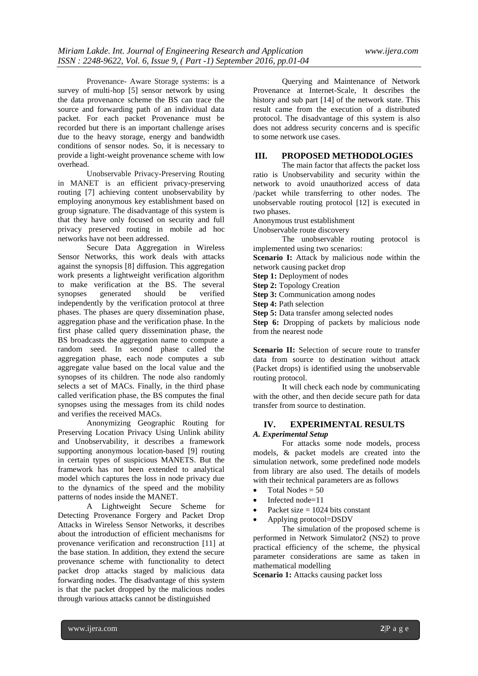Provenance- Aware Storage systems: is a survey of multi-hop [5] sensor network by using the data provenance scheme the BS can trace the source and forwarding path of an individual data packet. For each packet Provenance must be recorded but there is an important challenge arises due to the heavy storage, energy and bandwidth conditions of sensor nodes. So, it is necessary to provide a light-weight provenance scheme with low overhead.

Unobservable Privacy-Preserving Routing in MANET is an efficient privacy-preserving routing [7] achieving content unobservability by employing anonymous key establishment based on group signature. The disadvantage of this system is that they have only focused on security and full privacy preserved routing in mobile ad hoc networks have not been addressed.

Secure Data Aggregation in Wireless Sensor Networks, this work deals with attacks against the synopsis [8] diffusion. This aggregation work presents a lightweight verification algorithm to make verification at the BS. The several synopses generated should be verified independently by the verification protocol at three phases. The phases are query dissemination phase, aggregation phase and the verification phase. In the first phase called query dissemination phase, the BS broadcasts the aggregation name to compute a random seed. In second phase called the aggregation phase, each node computes a sub aggregate value based on the local value and the synopses of its children. The node also randomly selects a set of MACs. Finally, in the third phase called verification phase, the BS computes the final synopses using the messages from its child nodes and verifies the received MACs.

Anonymizing Geographic Routing for Preserving Location Privacy Using Unlink ability and Unobservability, it describes a framework supporting anonymous location-based [9] routing in certain types of suspicious MANETS. But the framework has not been extended to analytical model which captures the loss in node privacy due to the dynamics of the speed and the mobility patterns of nodes inside the MANET.

A Lightweight Secure Scheme for Detecting Provenance Forgery and Packet Drop Attacks in Wireless Sensor Networks, it describes about the introduction of efficient mechanisms for provenance verification and reconstruction [11] at the base station. In addition, they extend the secure provenance scheme with functionality to detect packet drop attacks staged by malicious data forwarding nodes. The disadvantage of this system is that the packet dropped by the malicious nodes through various attacks cannot be distinguished

Querying and Maintenance of Network Provenance at Internet-Scale, It describes the history and sub part [14] of the network state. This result came from the execution of a distributed protocol. The disadvantage of this system is also does not address security concerns and is specific to some network use cases.

# **III. PROPOSED METHODOLOGIES**

The main factor that affects the packet loss ratio is Unobservability and security within the network to avoid unauthorized access of data /packet while transferring to other nodes. The unobservable routing protocol [12] is executed in two phases.

Anonymous trust establishment

Unobservable route discovery

The unobservable routing protocol is implemented using two scenarios:

Scenario I: Attack by malicious node within the network causing packet drop

**Step 1:** Deployment of nodes

**Step 2:** Topology Creation

**Step 3:** Communication among nodes

**Step 4: Path selection** 

**Step 5:** Data transfer among selected nodes

**Step 6:** Dropping of packets by malicious node from the nearest node

**Scenario II:** Selection of secure route to transfer data from source to destination without attack (Packet drops) is identified using the unobservable routing protocol.

It will check each node by communicating with the other, and then decide secure path for data transfer from source to destination.

# **IV. EXPERIMENTAL RESULTS**

*A. Experimental Setup*

For attacks some node models, process models, & packet models are created into the simulation network, some predefined node models from library are also used. The details of models with their technical parameters are as follows

- Total Nodes  $= 50$
- Infected node=11
- Packet size  $= 1024$  bits constant
- Applying protocol=DSDV

The simulation of the proposed scheme is performed in Network Simulator2 (NS2) to prove practical efficiency of the scheme, the physical parameter considerations are same as taken in mathematical modelling

**Scenario 1:** Attacks causing packet loss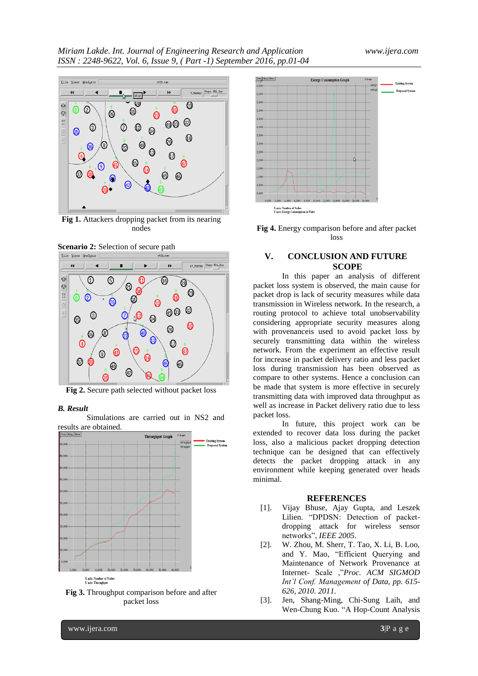

**Fig 1.** Attackers dropping packet from its nearing nodes





**Fig 2.** Secure path selected without packet loss

#### *B. Result*

Simulations are carried out in NS2 and results are obtained.



**Fig 3.** Throughput comparison before and after packet loss



**Fig 4.** Energy comparison before and after packet loss

# **V. CONCLUSION AND FUTURE SCOPE**

In this paper an analysis of different packet loss system is observed, the main cause for packet drop is lack of security measures while data transmission in Wireless network. In the research, a routing protocol to achieve total unobservability considering appropriate security measures along with provenanceis used to avoid packet loss by securely transmitting data within the wireless network. From the experiment an effective result for increase in packet delivery ratio and less packet loss during transmission has been observed as compare to other systems. Hence a conclusion can be made that system is more effective in securely transmitting data with improved data throughput as well as increase in Packet delivery ratio due to less packet loss.

In future, this project work can be extended to recover data loss during the packet loss, also a malicious packet dropping detection technique can be designed that can effectively detects the packet dropping attack in any environment while keeping generated over heads minimal.

#### **REFERENCES**

- [1]. Vijay Bhuse, Ajay Gupta, and Leszek Lilien. "DPDSN: Detection of packetdropping attack for wireless sensor networks", *IEEE 2005*.
- [2]. W. Zhou, M. Sherr, T. Tao, X. Li, B. Loo, and Y. Mao, "Efficient Querying and Maintenance of Network Provenance at Internet- Scale ,"*Proc. ACM SIGMOD Int'l Conf. Management of Data, pp. 615- 626, 2010. 2011.*
- [3]. Jen, Shang-Ming, Chi-Sung Laih, and Wen-Chung Kuo. "A Hop-Count Analysis

www.ijera.com **3**|P a g e